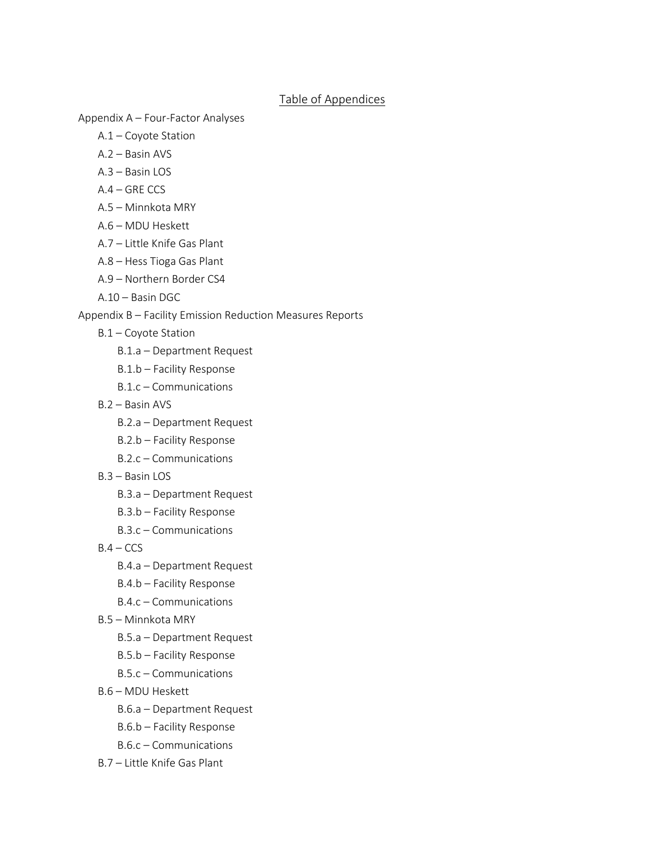## Table of Appendices

Appendix A – Four-Factor Analyses

- A.1 Coyote Station
- A.2 Basin AVS
- A.3 Basin LOS
- A.4 GRE CCS
- A.5 Minnkota MRY
- A.6 MDU Heskett
- A.7 Little Knife Gas Plant
- A.8 Hess Tioga Gas Plant
- A.9 Northern Border CS4
- A.10 Basin DGC

## Appendix B – Facility Emission Reduction Measures Reports

- B.1 Coyote Station
	- B.1.a Department Request
	- B.1.b Facility Response
	- B.1.c Communications
- B.2 Basin AVS
	- B.2.a Department Request
	- B.2.b Facility Response
	- B.2.c Communications
- B.3 Basin LOS
	- B.3.a Department Request
	- B.3.b Facility Response
	- B.3.c Communications
- $B.4 CCS$ 
	- B.4.a Department Request
	- B.4.b Facility Response
	- B.4.c Communications
- B.5 Minnkota MRY
	- B.5.a Department Request
	- B.5.b Facility Response
	- B.5.c Communications
- B.6 MDU Heskett
	- B.6.a Department Request
	- B.6.b Facility Response
	- B.6.c Communications
- B.7 Little Knife Gas Plant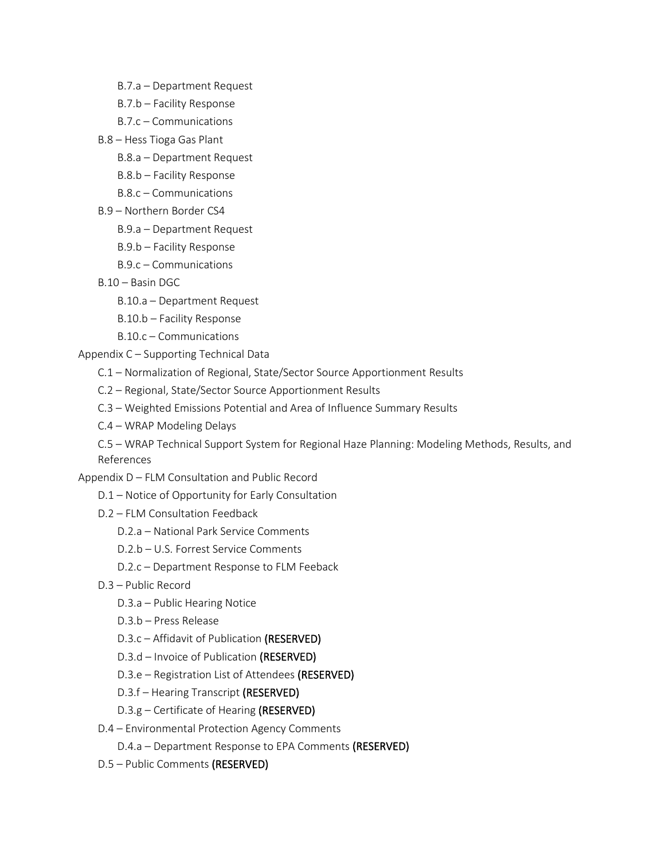- B.7.a Department Request
- B.7.b Facility Response
- B.7.c Communications
- B.8 Hess Tioga Gas Plant
	- B.8.a Department Request
	- B.8.b Facility Response
	- B.8.c Communications
- B.9 Northern Border CS4
	- B.9.a Department Request
	- B.9.b Facility Response
	- B.9.c Communications
- B.10 Basin DGC
	- B.10.a Department Request
	- B.10.b Facility Response
	- B.10.c Communications

Appendix C – Supporting Technical Data

- C.1 Normalization of Regional, State/Sector Source Apportionment Results
- C.2 Regional, State/Sector Source Apportionment Results
- C.3 Weighted Emissions Potential and Area of Influence Summary Results
- C.4 WRAP Modeling Delays

C.5 – WRAP Technical Support System for Regional Haze Planning: Modeling Methods, Results, and References

Appendix D – FLM Consultation and Public Record

- D.1 Notice of Opportunity for Early Consultation
- D.2 FLM Consultation Feedback
	- D.2.a National Park Service Comments
	- D.2.b U.S. Forrest Service Comments
	- D.2.c Department Response to FLM Feeback
- D.3 Public Record
	- D.3.a Public Hearing Notice
	- D.3.b Press Release
	- D.3.c Affidavit of Publication (RESERVED)
	- D.3.d Invoice of Publication (RESERVED)
	- D.3.e Registration List of Attendees (RESERVED)
	- D.3.f Hearing Transcript (RESERVED)
	- D.3.g Certificate of Hearing (RESERVED)
- D.4 Environmental Protection Agency Comments
	- D.4.a Department Response to EPA Comments (RESERVED)
- D.5 Public Comments (RESERVED)